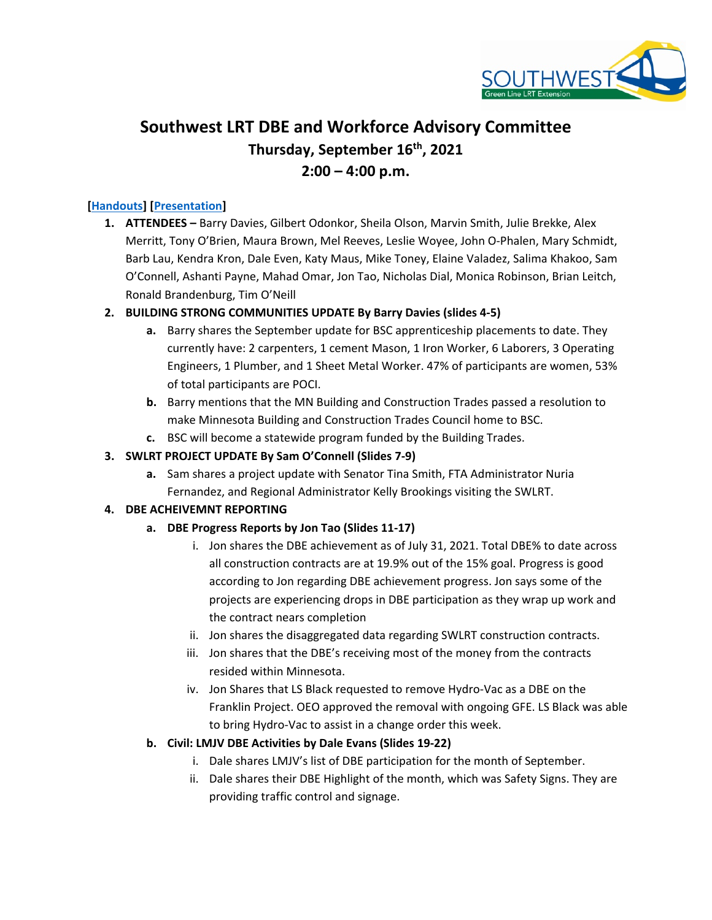

# **Southwest LRT DBE and Workforce Advisory Committee Thursday, September 16th, 2021 2:00 – 4:00 p.m.**

### **[\[Handouts\]](https://metrocouncil.org/Transportation/Projects/Light-Rail-Projects/Southwest-LRT/SWLRT-Committees/DBE-Workforce-Advisory-Committee-(1)/2021/DWAC-09-16-21/20210916_DWAC-Handouts_Final.aspx) [\[Presentation\]](https://metrocouncil.org/Transportation/Projects/Light-Rail-Projects/Southwest-LRT/SWLRT-Committees/DBE-Workforce-Advisory-Committee-(1)/2021/DWAC-09-16-21/20210916_DWAC_Presentation_Final.aspx)**

**1. ATTENDEES –** Barry Davies, Gilbert Odonkor, Sheila Olson, Marvin Smith, Julie Brekke, Alex Merritt, Tony O'Brien, Maura Brown, Mel Reeves, Leslie Woyee, John O-Phalen, Mary Schmidt, Barb Lau, Kendra Kron, Dale Even, Katy Maus, Mike Toney, Elaine Valadez, Salima Khakoo, Sam O'Connell, Ashanti Payne, Mahad Omar, Jon Tao, Nicholas Dial, Monica Robinson, Brian Leitch, Ronald Brandenburg, Tim O'Neill

#### **2. BUILDING STRONG COMMUNITIES UPDATE By Barry Davies (slides 4-5)**

- **a.** Barry shares the September update for BSC apprenticeship placements to date. They currently have: 2 carpenters, 1 cement Mason, 1 Iron Worker, 6 Laborers, 3 Operating Engineers, 1 Plumber, and 1 Sheet Metal Worker. 47% of participants are women, 53% of total participants are POCI.
- **b.** Barry mentions that the MN Building and Construction Trades passed a resolution to make Minnesota Building and Construction Trades Council home to BSC.
- **c.** BSC will become a statewide program funded by the Building Trades.

#### **3. SWLRT PROJECT UPDATE By Sam O'Connell (Slides 7-9)**

**a.** Sam shares a project update with Senator Tina Smith, FTA Administrator Nuria Fernandez, and Regional Administrator Kelly Brookings visiting the SWLRT.

#### **4. DBE ACHEIVEMNT REPORTING**

- **a. DBE Progress Reports by Jon Tao (Slides 11-17)**
	- i. Jon shares the DBE achievement as of July 31, 2021. Total DBE% to date across all construction contracts are at 19.9% out of the 15% goal. Progress is good according to Jon regarding DBE achievement progress. Jon says some of the projects are experiencing drops in DBE participation as they wrap up work and the contract nears completion
	- ii. Jon shares the disaggregated data regarding SWLRT construction contracts.
	- iii. Jon shares that the DBE's receiving most of the money from the contracts resided within Minnesota.
	- iv. Jon Shares that LS Black requested to remove Hydro-Vac as a DBE on the Franklin Project. OEO approved the removal with ongoing GFE. LS Black was able to bring Hydro-Vac to assist in a change order this week.

#### **b. Civil: LMJV DBE Activities by Dale Evans (Slides 19-22)**

- i. Dale shares LMJV's list of DBE participation for the month of September.
- ii. Dale shares their DBE Highlight of the month, which was Safety Signs. They are providing traffic control and signage.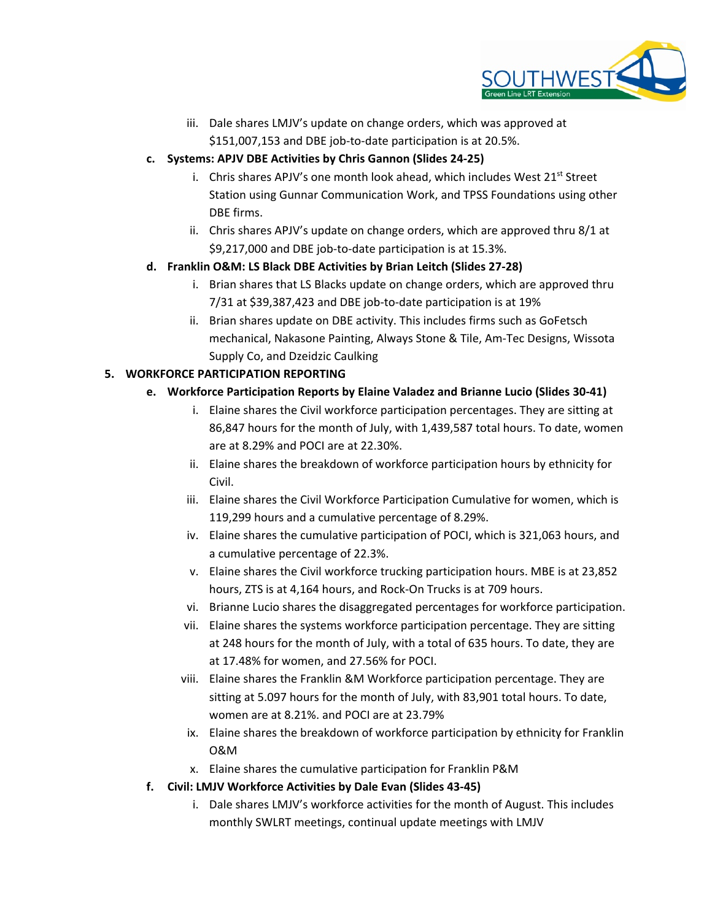

iii. Dale shares LMJV's update on change orders, which was approved at \$151,007,153 and DBE job-to-date participation is at 20.5%.

## **c. Systems: APJV DBE Activities by Chris Gannon (Slides 24-25)**

- i. Chris shares APJV's one month look ahead, which includes West  $21^{st}$  Street Station using Gunnar Communication Work, and TPSS Foundations using other DBE firms.
- ii. Chris shares APJV's update on change orders, which are approved thru 8/1 at \$9,217,000 and DBE job-to-date participation is at 15.3%.

## **d. Franklin O&M: LS Black DBE Activities by Brian Leitch (Slides 27-28)**

- i. Brian shares that LS Blacks update on change orders, which are approved thru 7/31 at \$39,387,423 and DBE job-to-date participation is at 19%
- ii. Brian shares update on DBE activity. This includes firms such as GoFetsch mechanical, Nakasone Painting, Always Stone & Tile, Am-Tec Designs, Wissota Supply Co, and Dzeidzic Caulking

## **5. WORKFORCE PARTICIPATION REPORTING**

## **e. Workforce Participation Reports by Elaine Valadez and Brianne Lucio (Slides 30-41)**

- i. Elaine shares the Civil workforce participation percentages. They are sitting at 86,847 hours for the month of July, with 1,439,587 total hours. To date, women are at 8.29% and POCI are at 22.30%.
- ii. Elaine shares the breakdown of workforce participation hours by ethnicity for Civil.
- iii. Elaine shares the Civil Workforce Participation Cumulative for women, which is 119,299 hours and a cumulative percentage of 8.29%.
- iv. Elaine shares the cumulative participation of POCI, which is 321,063 hours, and a cumulative percentage of 22.3%.
- v. Elaine shares the Civil workforce trucking participation hours. MBE is at 23,852 hours, ZTS is at 4,164 hours, and Rock-On Trucks is at 709 hours.
- vi. Brianne Lucio shares the disaggregated percentages for workforce participation.
- vii. Elaine shares the systems workforce participation percentage. They are sitting at 248 hours for the month of July, with a total of 635 hours. To date, they are at 17.48% for women, and 27.56% for POCI.
- viii. Elaine shares the Franklin &M Workforce participation percentage. They are sitting at 5.097 hours for the month of July, with 83,901 total hours. To date, women are at 8.21%. and POCI are at 23.79%
- ix. Elaine shares the breakdown of workforce participation by ethnicity for Franklin O&M
- x. Elaine shares the cumulative participation for Franklin P&M
- **f. Civil: LMJV Workforce Activities by Dale Evan (Slides 43-45)**
	- i. Dale shares LMJV's workforce activities for the month of August. This includes monthly SWLRT meetings, continual update meetings with LMJV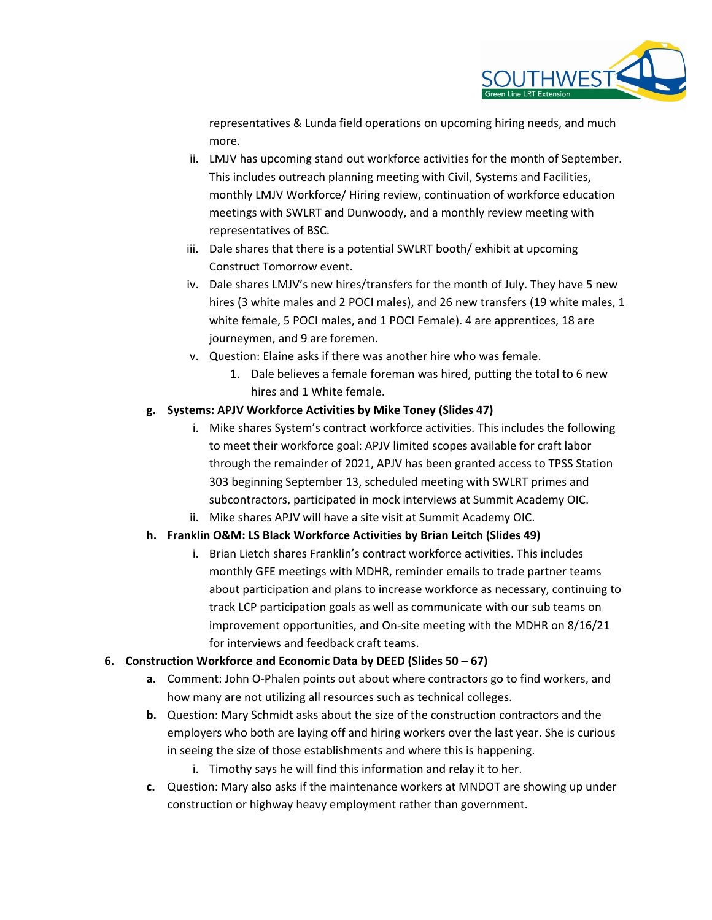

representatives & Lunda field operations on upcoming hiring needs, and much more.

- ii. LMJV has upcoming stand out workforce activities for the month of September. This includes outreach planning meeting with Civil, Systems and Facilities, monthly LMJV Workforce/ Hiring review, continuation of workforce education meetings with SWLRT and Dunwoody, and a monthly review meeting with representatives of BSC.
- iii. Dale shares that there is a potential SWLRT booth/ exhibit at upcoming Construct Tomorrow event.
- iv. Dale shares LMJV's new hires/transfers for the month of July. They have 5 new hires (3 white males and 2 POCI males), and 26 new transfers (19 white males, 1 white female, 5 POCI males, and 1 POCI Female). 4 are apprentices, 18 are journeymen, and 9 are foremen.
- v. Question: Elaine asks if there was another hire who was female.
	- 1. Dale believes a female foreman was hired, putting the total to 6 new hires and 1 White female.

#### **g. Systems: APJV Workforce Activities by Mike Toney (Slides 47)**

- i. Mike shares System's contract workforce activities. This includes the following to meet their workforce goal: APJV limited scopes available for craft labor through the remainder of 2021, APJV has been granted access to TPSS Station 303 beginning September 13, scheduled meeting with SWLRT primes and subcontractors, participated in mock interviews at Summit Academy OIC.
- ii. Mike shares APJV will have a site visit at Summit Academy OIC.

### **h. Franklin O&M: LS Black Workforce Activities by Brian Leitch (Slides 49)**

i. Brian Lietch shares Franklin's contract workforce activities. This includes monthly GFE meetings with MDHR, reminder emails to trade partner teams about participation and plans to increase workforce as necessary, continuing to track LCP participation goals as well as communicate with our sub teams on improvement opportunities, and On-site meeting with the MDHR on 8/16/21 for interviews and feedback craft teams.

### **6. Construction Workforce and Economic Data by DEED (Slides 50 – 67)**

- **a.** Comment: John O-Phalen points out about where contractors go to find workers, and how many are not utilizing all resources such as technical colleges.
- **b.** Question: Mary Schmidt asks about the size of the construction contractors and the employers who both are laying off and hiring workers over the last year. She is curious in seeing the size of those establishments and where this is happening.
	- i. Timothy says he will find this information and relay it to her.
- **c.** Question: Mary also asks if the maintenance workers at MNDOT are showing up under construction or highway heavy employment rather than government.